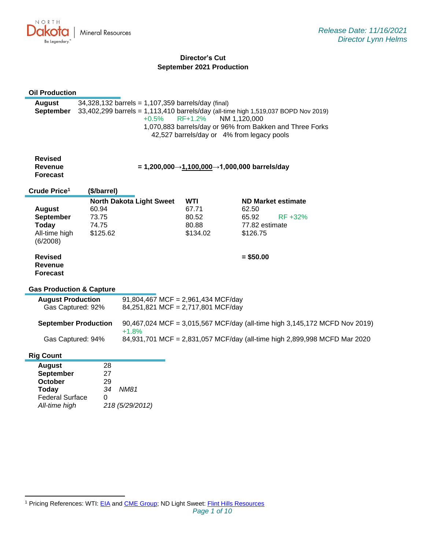

# **Director's Cut September 2021 Production**

| <b>Oil Production</b>               |                                                                                    |                                                    |            |                                             |                                                                            |
|-------------------------------------|------------------------------------------------------------------------------------|----------------------------------------------------|------------|---------------------------------------------|----------------------------------------------------------------------------|
| <b>August</b>                       |                                                                                    | 34,328,132 barrels = 1,107,359 barrels/day (final) |            |                                             |                                                                            |
| <b>September</b>                    | 33,402,299 barrels = 1,113,410 barrels/day (all-time high 1,519,037 BOPD Nov 2019) |                                                    |            |                                             |                                                                            |
|                                     |                                                                                    | $+0.5%$                                            | RF+1.2%    | NM 1,120,000                                |                                                                            |
|                                     |                                                                                    |                                                    |            |                                             | 1,070,883 barrels/day or 96% from Bakken and Three Forks                   |
|                                     |                                                                                    |                                                    |            | 42,527 barrels/day or 4% from legacy pools  |                                                                            |
|                                     |                                                                                    |                                                    |            |                                             |                                                                            |
|                                     |                                                                                    |                                                    |            |                                             |                                                                            |
| <b>Revised</b>                      |                                                                                    |                                                    |            |                                             |                                                                            |
| Revenue                             |                                                                                    |                                                    |            | = 1,200,000→1,100,000→1,000,000 barrels/day |                                                                            |
| <b>Forecast</b>                     |                                                                                    |                                                    |            |                                             |                                                                            |
| Crude Price <sup>1</sup>            | (\$/barrel)                                                                        |                                                    |            |                                             |                                                                            |
|                                     |                                                                                    | <b>North Dakota Light Sweet</b>                    | <b>WTI</b> |                                             | ND Market estimate                                                         |
| <b>August</b>                       | 60.94                                                                              |                                                    | 67.71      | 62.50                                       |                                                                            |
| <b>September</b>                    | 73.75                                                                              |                                                    | 80.52      | 65.92                                       | RF +32%                                                                    |
| <b>Today</b>                        | 74.75                                                                              |                                                    | 80.88      | 77.82 estimate                              |                                                                            |
| All-time high                       | \$125.62                                                                           |                                                    | \$134.02   | \$126.75                                    |                                                                            |
| (6/2008)                            |                                                                                    |                                                    |            |                                             |                                                                            |
|                                     |                                                                                    |                                                    |            |                                             |                                                                            |
| <b>Revised</b>                      |                                                                                    |                                                    |            | $= $50.00$                                  |                                                                            |
| Revenue                             |                                                                                    |                                                    |            |                                             |                                                                            |
| <b>Forecast</b>                     |                                                                                    |                                                    |            |                                             |                                                                            |
| <b>Gas Production &amp; Capture</b> |                                                                                    |                                                    |            |                                             |                                                                            |
| <b>August Production</b>            |                                                                                    | 91,804,467 MCF = 2,961,434 MCF/day                 |            |                                             |                                                                            |
| Gas Captured: 92%                   |                                                                                    | 84,251,821 MCF = 2,717,801 MCF/day                 |            |                                             |                                                                            |
|                                     |                                                                                    |                                                    |            |                                             |                                                                            |
| <b>September Production</b>         |                                                                                    |                                                    |            |                                             | 90,467,024 MCF = 3,015,567 MCF/day (all-time high 3,145,172 MCFD Nov 2019) |
|                                     |                                                                                    | $+1.8%$                                            |            |                                             |                                                                            |
| Gas Captured: 94%                   |                                                                                    |                                                    |            |                                             | 84,931,701 MCF = 2,831,057 MCF/day (all-time high 2,899,998 MCFD Mar 2020  |
| <b>Rig Count</b>                    |                                                                                    |                                                    |            |                                             |                                                                            |
| <b>August</b>                       | 28                                                                                 |                                                    |            |                                             |                                                                            |
| <b>September</b>                    | 27                                                                                 |                                                    |            |                                             |                                                                            |
| October                             | 29                                                                                 |                                                    |            |                                             |                                                                            |
| <b>Today</b>                        | 34                                                                                 | <b>NM81</b>                                        |            |                                             |                                                                            |
| <b>Federal Surface</b>              | 0                                                                                  |                                                    |            |                                             |                                                                            |
| All-time high                       |                                                                                    | 218 (5/29/2012)                                    |            |                                             |                                                                            |

<sup>&</sup>lt;sup>1</sup> Pricing References: WTI: [EIA](https://www.eia.gov/dnav/pet/hist/LeafHandler.ashx?n=PET&s=RCLC1&f=M) and [CME Group;](https://www.cmegroup.com/trading/energy/crude-oil/light-sweet-crude.html) ND Light Sweet: [Flint Hills Resources](https://www.fhr.com/products-services/fuels-and-aromatics)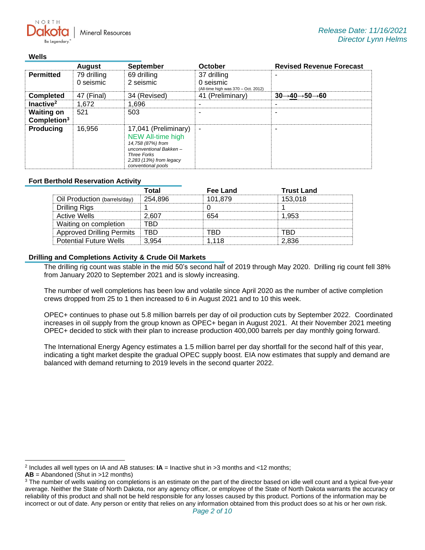**Mineral Resources** 

### **Wells**

 $N$   $\cap$   $R$   $T$   $\vdash$ 

| <b>August</b>                                |                          | <b>September</b>                                                                                                                                                       | <b>October</b>                                                  | <b>Revised Revenue Forecast</b>                  |  |  |
|----------------------------------------------|--------------------------|------------------------------------------------------------------------------------------------------------------------------------------------------------------------|-----------------------------------------------------------------|--------------------------------------------------|--|--|
| <b>Permitted</b>                             | 79 drilling<br>0 seismic | 69 drilling<br>2 seismic                                                                                                                                               | 37 drilling<br>0 seismic<br>(All-time high was 370 - Oct. 2012) |                                                  |  |  |
| <b>Completed</b>                             | 47 (Final)               | 34 (Revised)                                                                                                                                                           | 41 (Preliminary)                                                | $30\rightarrow 40 \rightarrow 50 \rightarrow 60$ |  |  |
| Inactive <sup>2</sup>                        | 1,672                    | 1,696                                                                                                                                                                  |                                                                 |                                                  |  |  |
| <b>Waiting on</b><br>Completion <sup>3</sup> | 521                      | 503                                                                                                                                                                    |                                                                 |                                                  |  |  |
| <b>Producing</b>                             | 16,956                   | 17,041 (Preliminary)<br><b>NEW All-time high</b><br>14,758 (87%) from<br>unconventional Bakken-<br><b>Three Forks</b><br>2,283 (13%) from legacy<br>conventional pools | $\blacksquare$                                                  |                                                  |  |  |

## **Fort Berthold Reservation Activity**

|                                  | Total   | Fee Land | <b>Trust Land</b> |
|----------------------------------|---------|----------|-------------------|
| Oil Production (barrels/day)     | 254,896 | 101.879  | 153.018           |
| Drilling Rigs                    |         |          |                   |
| Active Wells                     | 2.607   | 654      | 1.953             |
| Waiting on completion            | FRD     |          |                   |
| <b>Approved Drilling Permits</b> | TRD     | rrn      | RD.               |
| <b>Potential Future Wells</b>    | 3.954   | 1.118    | 2.836             |

## **Drilling and Completions Activity & Crude Oil Markets**

The drilling rig count was stable in the mid 50's second half of 2019 through May 2020. Drilling rig count fell 38% from January 2020 to September 2021 and is slowly increasing.

The number of well completions has been low and volatile since April 2020 as the number of active completion crews dropped from 25 to 1 then increased to 6 in August 2021 and to 10 this week.

OPEC+ continues to phase out 5.8 million barrels per day of oil production cuts by September 2022. Coordinated increases in oil supply from the group known as OPEC+ began in August 2021. At their November 2021 meeting OPEC+ decided to stick with their plan to increase production 400,000 barrels per day monthly going forward.

The International Energy Agency estimates a 1.5 million barrel per day shortfall for the second half of this year, indicating a tight market despite the gradual OPEC supply boost. EIA now estimates that supply and demand are balanced with demand returning to 2019 levels in the second quarter 2022.

<sup>2</sup> Includes all well types on IA and AB statuses: **IA** = Inactive shut in >3 months and <12 months;

**AB** = Abandoned (Shut in >12 months)

<sup>&</sup>lt;sup>3</sup> The number of wells waiting on completions is an estimate on the part of the director based on idle well count and a typical five-year average. Neither the State of North Dakota, nor any agency officer, or employee of the State of North Dakota warrants the accuracy or reliability of this product and shall not be held responsible for any losses caused by this product. Portions of the information may be incorrect or out of date. Any person or entity that relies on any information obtained from this product does so at his or her own risk.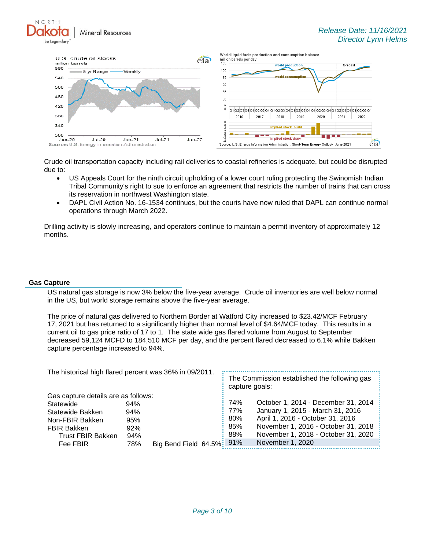**Mineral Resources** 



Crude oil transportation capacity including rail deliveries to coastal refineries is adequate, but could be disrupted due to:

- US Appeals Court for the ninth circuit upholding of a lower court ruling protecting the Swinomish Indian Tribal Community's right to sue to enforce an agreement that restricts the number of trains that can cross its reservation in northwest Washington state.
- DAPL Civil Action No. 16-1534 continues, but the courts have now ruled that DAPL can continue normal operations through March 2022.

Drilling activity is slowly increasing, and operators continue to maintain a permit inventory of approximately 12 months.

### **Gas Capture**

NORTH

US natural gas storage is now 3% below the five-year average. Crude oil inventories are well below normal in the US, but world storage remains above the five-year average.

The price of natural gas delivered to Northern Border at Watford City increased to \$23.42/MCF February 17, 2021 but has returned to a significantly higher than normal level of \$4.64/MCF today. This results in a current oil to gas price ratio of 17 to 1. The state wide gas flared volume from August to September decreased 59,124 MCFD to 184,510 MCF per day, and the percent flared decreased to 6.1% while Bakken capture percentage increased to 94%.

| The historical high flared percent was 36% in 09/2011. |     |                          | The Commission established the following gas<br>capture goals: |                                     |  |  |
|--------------------------------------------------------|-----|--------------------------|----------------------------------------------------------------|-------------------------------------|--|--|
| Gas capture details are as follows:                    |     |                          |                                                                |                                     |  |  |
| Statewide                                              | 94% |                          | 74%                                                            | October 1, 2014 - December 31, 2014 |  |  |
| Statewide Bakken                                       | 94% |                          | 77%                                                            | January 1, 2015 - March 31, 2016    |  |  |
| Non-FBIR Bakken                                        | 95% |                          | 80%                                                            | April 1, 2016 - October 31, 2016    |  |  |
| <b>FBIR Bakken</b>                                     | 92% |                          | 85%                                                            | November 1, 2016 - October 31, 2018 |  |  |
| <b>Trust FBIR Bakken</b>                               | 94% |                          | 88%                                                            | November 1, 2018 - October 31, 2020 |  |  |
| Fee FBIR                                               | 78% | Big Bend Field 64.5% 91% |                                                                | November 1, 2020                    |  |  |
|                                                        |     |                          |                                                                |                                     |  |  |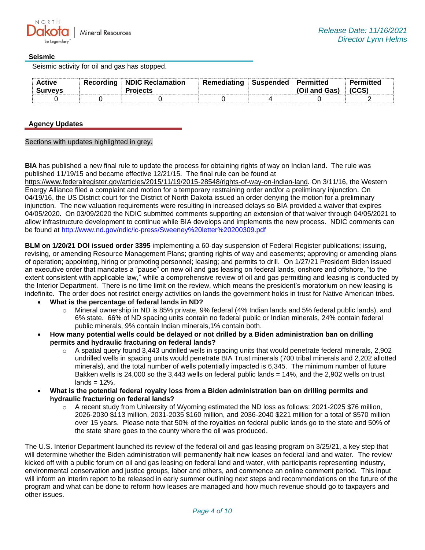## **Seismic**

Seismic activity for oil and gas has stopped.

| <b>Active</b><br><b>Surveys</b> | <b>Recording NDIC Reclamation</b><br><b>Projects</b> | Remediating | Suspended | Permitted<br>(Oil and Gas) | Permitted |
|---------------------------------|------------------------------------------------------|-------------|-----------|----------------------------|-----------|
|                                 |                                                      |             |           |                            |           |

## **Agency Updates**

Sections with updates highlighted in grey.

**BIA** has published a new final rule to update the process for obtaining rights of way on Indian land. The rule was published 11/19/15 and became effective 12/21/15. The final rule can be found at

[https://www.federalregister.gov/articles/2015/11/19/2015-28548/rights-of-way-on-indian-land.](https://gcc02.safelinks.protection.outlook.com/?url=https%3A%2F%2Fwww.federalregister.gov%2Farticles%2F2015%2F11%2F19%2F2015-28548%2Frights-of-way-on-indian-land&data=04%7C01%7Ckahaarsager%40nd.gov%7C995ea90e5c694b6ac80408d9a91646bc%7C2dea0464da514a88bae2b3db94bc0c54%7C0%7C0%7C637726735403497520%7CUnknown%7CTWFpbGZsb3d8eyJWIjoiMC4wLjAwMDAiLCJQIjoiV2luMzIiLCJBTiI6Ik1haWwiLCJXVCI6Mn0%3D%7C3000&sdata=YuGpOCdre3x4fbaGwrHYRI7%2Fjpwi%2FK2b2SoIGfgyO%2BI%3D&reserved=0) On 3/11/16, the Western Energy Alliance filed a complaint and motion for a temporary restraining order and/or a preliminary injunction. On 04/19/16, the US District court for the District of North Dakota issued an order denying the motion for a preliminary injunction. The new valuation requirements were resulting in increased delays so BIA provided a waiver that expires 04/05/2020. On 03/09/2020 the NDIC submitted comments supporting an extension of that waiver through 04/05/2021 to allow infrastructure development to continue while BIA develops and implements the new process. NDIC comments can be found at<http://www.nd.gov/ndic/ic-press/Sweeney%20letter%20200309.pdf>

**BLM on 1/20/21 DOI issued order 3395** implementing a 60-day suspension of Federal Register publications; issuing, revising, or amending Resource Management Plans; granting rights of way and easements; approving or amending plans of operation; appointing, hiring or promoting personnel; leasing; and permits to drill. On 1/27/21 President Biden issued an executive order that mandates a "pause" on new oil and gas leasing on federal lands, onshore and offshore, "to the extent consistent with applicable law," while a comprehensive review of oil and gas permitting and leasing is conducted by the Interior Department. There is no time limit on the review, which means the president's moratorium on new leasing is indefinite. The order does not restrict energy activities on lands the government holds in trust for Native American tribes.

- **What is the percentage of federal lands in ND?**
	- $\circ$  Mineral ownership in ND is 85% private, 9% federal (4% Indian lands and 5% federal public lands), and 6% state. 66% of ND spacing units contain no federal public or Indian minerals, 24% contain federal public minerals, 9% contain Indian minerals,1% contain both.
- **How many potential wells could be delayed or not drilled by a Biden administration ban on drilling permits and hydraulic fracturing on federal lands?**
	- $\circ$  A spatial query found 3,443 undrilled wells in spacing units that would penetrate federal minerals, 2,902 undrilled wells in spacing units would penetrate BIA Trust minerals (700 tribal minerals and 2,202 allotted minerals), and the total number of wells potentially impacted is 6,345. The minimum number of future Bakken wells is 24,000 so the 3,443 wells on federal public lands = 14%, and the 2,902 wells on trust  $lands = 12\%$ .
- **What is the potential federal royalty loss from a Biden administration ban on drilling permits and hydraulic fracturing on federal lands?**
	- A recent study from University of Wyoming estimated the ND loss as follows: 2021-2025 \$76 million, 2026-2030 \$113 million, 2031-2035 \$160 million, and 2036-2040 \$221 million for a total of \$570 million over 15 years. Please note that 50% of the royalties on federal public lands go to the state and 50% of the state share goes to the county where the oil was produced.

The U.S. Interior Department launched its review of the federal oil and gas leasing program on 3/25/21, a key step that will determine whether the Biden administration will permanently halt new leases on federal land and water. The review kicked off with a public forum on oil and gas leasing on federal land and water, with participants representing industry, environmental conservation and justice groups, labor and others, and commence an online comment period. This input will inform an interim report to be released in early summer outlining next steps and recommendations on the future of the program and what can be done to reform how leases are managed and how much revenue should go to taxpayers and other issues.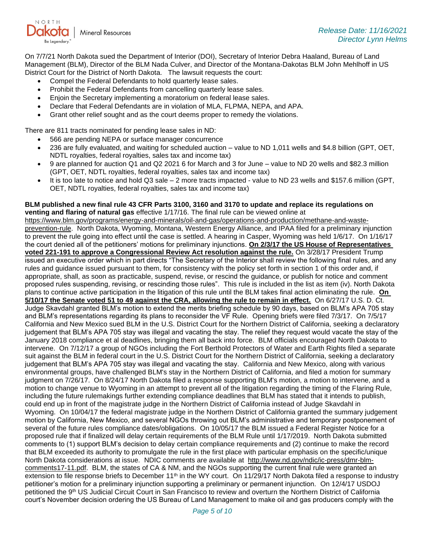

On 7/7/21 North Dakota sued the Department of Interior (DOI), Secretary of Interior Debra Haaland, Bureau of Land Management (BLM), Director of the BLM Nada Culver, and Director of the Montana-Dakotas BLM John Mehlhoff in US District Court for the District of North Dakota. The lawsuit requests the court:

- Compel the Federal Defendants to hold quarterly lease sales.
- Prohibit the Federal Defendants from cancelling quarterly lease sales.
- Enjoin the Secretary implementing a moratorium on federal lease sales.
- Declare that Federal Defendants are in violation of MLA, FLPMA, NEPA, and APA.
- Grant other relief sought and as the court deems proper to remedy the violations.

There are 811 tracts nominated for pending lease sales in ND:

- 566 are pending NEPA or surface manager concurrence
- 236 are fully evaluated, and waiting for scheduled auction value to ND 1,011 wells and \$4.8 billion (GPT, OET, NDTL royalties, federal royalties, sales tax and income tax)
- 9 are planned for auction Q1 and Q2 2021 6 for March and 3 for June value to ND 20 wells and \$82.3 million (GPT, OET, NDTL royalties, federal royalties, sales tax and income tax)
- It is too late to notice and hold Q3 sale 2 more tracts impacted value to ND 23 wells and \$157.6 million (GPT, OET, NDTL royalties, federal royalties, sales tax and income tax)

#### **BLM published a new final rule 43 CFR Parts 3100, 3160 and 3170 to update and replace its regulations on venting and flaring of natural gas** effective 1/17/16. The final rule can be viewed online at

[https://www.blm.gov/programs/energy-and-minerals/oil-and-gas/operations-and-production/methane-and-waste](https://gcc02.safelinks.protection.outlook.com/?url=https%3A%2F%2Fwww.blm.gov%2Fprograms%2Fenergy-and-minerals%2Foil-and-gas%2Foperations-and-production%2Fmethane-and-waste-prevention-rule&data=04%7C01%7Ckahaarsager%40nd.gov%7C995ea90e5c694b6ac80408d9a91646bc%7C2dea0464da514a88bae2b3db94bc0c54%7C0%7C0%7C637726735403497520%7CUnknown%7CTWFpbGZsb3d8eyJWIjoiMC4wLjAwMDAiLCJQIjoiV2luMzIiLCJBTiI6Ik1haWwiLCJXVCI6Mn0%3D%7C3000&sdata=LOL45xLpLFRBry%2F7ra98F6A%2BFisP9NL67Gb3t2dpjto%3D&reserved=0)[prevention-rule.](https://gcc02.safelinks.protection.outlook.com/?url=https%3A%2F%2Fwww.blm.gov%2Fprograms%2Fenergy-and-minerals%2Foil-and-gas%2Foperations-and-production%2Fmethane-and-waste-prevention-rule&data=04%7C01%7Ckahaarsager%40nd.gov%7C995ea90e5c694b6ac80408d9a91646bc%7C2dea0464da514a88bae2b3db94bc0c54%7C0%7C0%7C637726735403497520%7CUnknown%7CTWFpbGZsb3d8eyJWIjoiMC4wLjAwMDAiLCJQIjoiV2luMzIiLCJBTiI6Ik1haWwiLCJXVCI6Mn0%3D%7C3000&sdata=LOL45xLpLFRBry%2F7ra98F6A%2BFisP9NL67Gb3t2dpjto%3D&reserved=0) North Dakota, Wyoming, Montana, Western Energy Alliance, and IPAA filed for a preliminary injunction to prevent the rule going into effect until the case is settled. A hearing in Casper, Wyoming was held 1/6/17. On 1/16/17 the court denied all of the petitioners' motions for preliminary injunctions. **On 2/3/17 the US House of Representatives voted 221-191 to approve a Congressional Review Act resolution against the rule.** On 3/28/17 President Trump issued an executive order which in part directs "The Secretary of the Interior shall review the following final rules, and any rules and guidance issued pursuant to them, for consistency with the policy set forth in section 1 of this order and, if appropriate, shall, as soon as practicable, suspend, revise, or rescind the guidance, or publish for notice and comment proposed rules suspending, revising, or rescinding those rules". This rule is included in the list as item (iv). North Dakota plans to continue active participation in the litigation of this rule until the BLM takes final action eliminating the rule. **On 5/10/17 the Senate voted 51 to 49 against the CRA, allowing the rule to remain in effect.** On 6/27/17 U.S. D. Ct. Judge Skavdahl granted BLM's motion to extend the merits briefing schedule by 90 days, based on BLM's APA 705 stay and BLM's representations regarding its plans to reconsider the VF Rule. Opening briefs were filed 7/3/17. On 7/5/17 California and New Mexico sued BLM in the U.S. District Court for the Northern District of California, seeking a declaratory judgement that BLM's APA 705 stay was illegal and vacating the stay. The relief they request would vacate the stay of the January 2018 compliance et al deadlines, bringing them all back into force. BLM officials encouraged North Dakota to intervene. On 7/12/17 a group of NGOs including the Fort Berthold Protectors of Water and Earth Rights filed a separate suit against the BLM in federal court in the U.S. District Court for the Northern District of California, seeking a declaratory judgement that BLM's APA 705 stay was illegal and vacating the stay. California and New Mexico, along with various environmental groups, have challenged BLM's stay in the Northern District of California, and filed a motion for summary judgment on 7/26/17. On 8/24/17 North Dakota filed a response supporting BLM's motion, a motion to intervene, and a motion to change venue to Wyoming in an attempt to prevent all of the litigation regarding the timing of the Flaring Rule, including the future rulemakings further extending compliance deadlines that BLM has stated that it intends to publish, could end up in front of the magistrate judge in the Northern District of California instead of Judge Skavdahl in Wyoming. On 10/04/17 the federal magistrate judge in the Northern District of California granted the summary judgement motion by California, New Mexico, and several NGOs throwing out BLM's administrative and temporary postponement of several of the future rules compliance dates/obligations. On 10/05/17 the BLM issued a Federal Register Notice for a proposed rule that if finalized will delay certain requirements of the BLM Rule until 1/17/2019. North Dakota submitted comments to (1) support BLM's decision to delay certain compliance requirements and (2) continue to make the record that BLM exceeded its authority to promulgate the rule in the first place with particular emphasis on the specific/unique North Dakota considerations at issue. NDIC comments are available at [http://www.nd.gov/ndic/ic-press/dmr-blm](http://www.nd.gov/ndic/ic-press/dmr-blm-comments17-11.pdf)[comments17-11.pdf.](http://www.nd.gov/ndic/ic-press/dmr-blm-comments17-11.pdf) BLM, the states of CA & NM, and the NGOs supporting the current final rule were granted an extension to file response briefs to December 11<sup>th</sup> in the WY court. On 11/29/17 North Dakota filed a response to industry petitioner's motion for a preliminary injunction supporting a preliminary or permanent injunction. On 12/4/17 USDOJ petitioned the 9<sup>th</sup> US Judicial Circuit Court in San Francisco to review and overturn the Northern District of California court's November decision ordering the US Bureau of Land Management to make oil and gas producers comply with the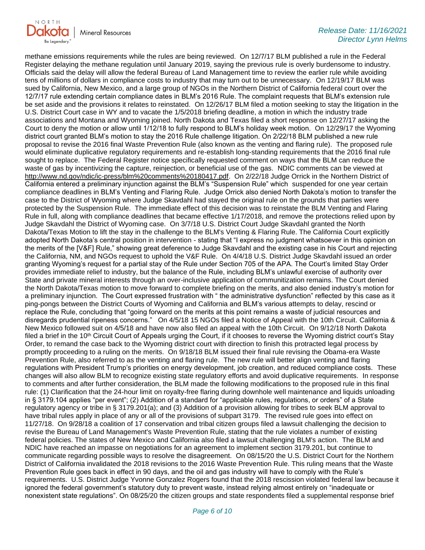

methane emissions requirements while the rules are being reviewed. On 12/7/17 BLM published a rule in the Federal Register delaying the methane regulation until January 2019, saying the previous rule is overly burdensome to industry. Officials said the delay will allow the federal Bureau of Land Management time to review the earlier rule while avoiding tens of millions of dollars in compliance costs to industry that may turn out to be unnecessary. On 12/19/17 BLM was sued by California, New Mexico, and a large group of NGOs in the Northern District of California federal court over the 12/7/17 rule extending certain compliance dates in BLM's 2016 Rule. The complaint requests that BLM's extension rule be set aside and the provisions it relates to reinstated. On 12/26/17 BLM filed a motion seeking to stay the litigation in the U.S. District Court case in WY and to vacate the 1/5/2018 briefing deadline, a motion in which the industry trade associations and Montana and Wyoming joined. North Dakota and Texas filed a short response on 12/27/17 asking the Court to deny the motion or allow until 1/12/18 to fully respond to BLM's holiday week motion. On 12/29/17 the Wyoming district court granted BLM's motion to stay the 2016 Rule challenge litigation. On 2/22/18 BLM published a new rule proposal to revise the 2016 final Waste Prevention Rule (also known as the venting and flaring rule). The proposed rule would eliminate duplicative regulatory requirements and re-establish long-standing requirements that the 2016 final rule sought to replace. The Federal Register notice specifically requested comment on ways that the BLM can reduce the waste of gas by incentivizing the capture, reinjection, or beneficial use of the gas. NDIC comments can be viewed at [http://www.nd.gov/ndic/ic-press/blm%20comments%20180417.pdf.](http://www.nd.gov/ndic/ic-press/blm%20comments%20180417.pdf) On 2/22/18 Judge Orrick in the Northern District of California entered a preliminary injunction against the BLM's "Suspension Rule" which suspended for one year certain compliance deadlines in BLM's Venting and Flaring Rule. Judge Orrick also denied North Dakota's motion to transfer the case to the District of Wyoming where Judge Skavdahl had stayed the original rule on the grounds that parties were protected by the Suspension Rule. The immediate effect of this decision was to reinstate the BLM Venting and Flaring Rule in full, along with compliance deadlines that became effective 1/17/2018, and remove the protections relied upon by Judge Skavdahl the District of Wyoming case. On 3/7/18 U.S. District Court Judge Skavdahl granted the North Dakota/Texas Motion to lift the stay in the challenge to the BLM's Venting & Flaring Rule. The California Court explicitly adopted North Dakota's central position in intervention - stating that "I express no judgment whatsoever in this opinion on the merits of the [V&F] Rule," showing great deference to Judge Skavdahl and the existing case in his Court and rejecting the California, NM, and NGOs request to uphold the V&F Rule. On 4/4/18 U.S. District Judge Skavdahl issued an order granting Wyoming's request for a partial stay of the Rule under Section 705 of the APA. The Court's limited Stay Order provides immediate relief to industry, but the balance of the Rule, including BLM's unlawful exercise of authority over State and private mineral interests through an over-inclusive application of communitization remains. The Court denied the North Dakota/Texas motion to move forward to complete briefing on the merits, and also denied industry's motion for a preliminary injunction. The Court expressed frustration with " the administrative dysfunction" reflected by this case as it ping-pongs between the District Courts of Wyoming and California and BLM's various attempts to delay, rescind or replace the Rule, concluding that "going forward on the merits at this point remains a waste of judicial resources and disregards prudential ripeness concerns." On 4/5/18 15 NGOs filed a Notice of Appeal with the 10th Circuit. California & New Mexico followed suit on 4/5/18 and have now also filed an appeal with the 10th Circuit. On 9/12/18 North Dakota filed a brief in the 10<sup>th</sup> Circuit Court of Appeals urging the Court, if it chooses to reverse the Wyoming district court's Stay Order, to remand the case back to the Wyoming district court with direction to finish this protracted legal process by promptly proceeding to a ruling on the merits. On 9/18/18 BLM issued their final rule revising the Obama-era Waste Prevention Rule, also referred to as the venting and flaring rule. The new rule will better align venting and flaring regulations with President Trump's priorities on energy development, job creation, and reduced compliance costs. These changes will also allow BLM to recognize existing state regulatory efforts and avoid duplicative requirements. In response to comments and after further consideration, the BLM made the following modifications to the proposed rule in this final rule: (1) Clarification that the 24-hour limit on royalty-free flaring during downhole well maintenance and liquids unloading in § 3179.104 applies "per event"; (2) Addition of a standard for "applicable rules, regulations, or orders" of a State regulatory agency or tribe in § 3179.201(a); and (3) Addition of a provision allowing for tribes to seek BLM approval to have tribal rules apply in place of any or all of the provisions of subpart 3179. The revised rule goes into effect on 11/27/18. On 9/28/18 a coalition of 17 conservation and tribal citizen groups filed a lawsuit challenging the decision to revise the Bureau of Land Management's Waste Prevention Rule, stating that the rule violates a number of existing federal policies. The states of New Mexico and California also filed a lawsuit challenging BLM's action. The BLM and NDIC have reached an impasse on negotiations for an agreement to implement section 3179.201, but continue to communicate regarding possible ways to resolve the disagreement. On 08/15/20 the U.S. District Court for the Northern District of California invalidated the 2018 revisions to the 2016 Waste Prevention Rule. This ruling means that the Waste Prevention Rule goes back in effect in 90 days, and the oil and gas industry will have to comply with the Rule's requirements. U.S. District Judge Yvonne Gonzalez Rogers found that the 2018 rescission violated federal law because it ignored the federal government's statutory duty to prevent waste, instead relying almost entirely on "inadequate or nonexistent state regulations". On 08/25/20 the citizen groups and state respondents filed a supplemental response brief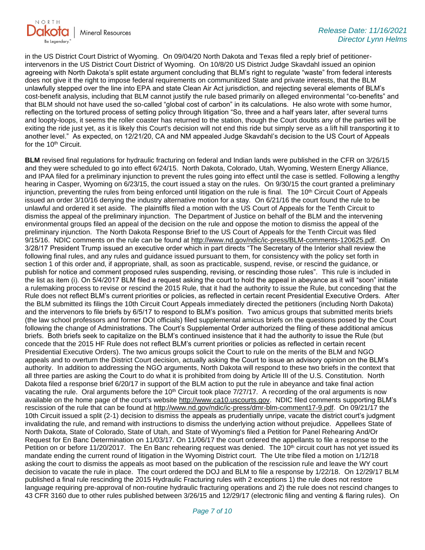

in the US District Court District of Wyoming. On 09/04/20 North Dakota and Texas filed a reply brief of petitionerintervenors in the US District Court District of Wyoming. On 10/8/20 US District Judge Skavdahl issued an opinion agreeing with North Dakota's split estate argument concluding that BLM's right to regulate "waste" from federal interests does not give it the right to impose federal requirements on communitized State and private interests, that the BLM unlawfully stepped over the line into EPA and state Clean Air Act jurisdiction, and rejecting several elements of BLM's cost-benefit analysis, including that BLM cannot justify the rule based primarily on alleged environmental "co-benefits" and that BLM should not have used the so-called "global cost of carbon" in its calculations. He also wrote with some humor, reflecting on the tortured process of setting policy through litigation "So, three and a half years later, after several turns and loopty-loops, it seems the roller coaster has returned to the station, though the Court doubts any of the parties will be exiting the ride just yet, as it is likely this Court's decision will not end this ride but simply serve as a lift hill transporting it to another level." As expected, on 12/21/20, CA and NM appealed Judge Skavdahl's decision to the US Court of Appeals for the 10<sup>th</sup> Circuit.

**BLM** revised final regulations for hydraulic fracturing on federal and Indian lands were published in the CFR on 3/26/15 and they were scheduled to go into effect 6/24/15. North Dakota, Colorado, Utah, Wyoming, Western Energy Alliance, and IPAA filed for a preliminary injunction to prevent the rules going into effect until the case is settled. Following a lengthy hearing in Casper, Wyoming on 6/23/15, the court issued a stay on the rules. On 9/30/15 the court granted a preliminary injunction, preventing the rules from being enforced until litigation on the rule is final. The  $10<sup>th</sup>$  Circuit Court of Appeals issued an order 3/10/16 denying the industry alternative motion for a stay. On 6/21/16 the court found the rule to be unlawful and ordered it set aside. The plaintiffs filed a motion with the US Court of Appeals for the Tenth Circuit to dismiss the appeal of the preliminary injunction. The Department of Justice on behalf of the BLM and the intervening environmental groups filed an appeal of the decision on the rule and oppose the motion to dismiss the appeal of the preliminary injunction. The North Dakota Response Brief to the US Court of Appeals for the Tenth Circuit was filed 9/15/16. NDIC comments on the rule can be found at [http://www.nd.gov/ndic/ic-press/BLM-comments-120625.pdf.](http://www.nd.gov/ndic/ic-press/BLM-comments-120625.pdf) On 3/28/17 President Trump issued an executive order which in part directs "The Secretary of the Interior shall review the following final rules, and any rules and guidance issued pursuant to them, for consistency with the policy set forth in section 1 of this order and, if appropriate, shall, as soon as practicable, suspend, revise, or rescind the guidance, or publish for notice and comment proposed rules suspending, revising, or rescinding those rules". This rule is included in the list as item (i). On 5/4/2017 BLM filed a request asking the court to hold the appeal in abeyance as it will "soon" initiate a rulemaking process to revise or rescind the 2015 Rule, that it had the authority to issue the Rule, but conceding that the Rule does not reflect BLM's current priorities or policies, as reflected in certain recent Presidential Executive Orders. After the BLM submitted its filings the 10th Circuit Court Appeals immediately directed the petitioners (including North Dakota) and the intervenors to file briefs by 6/5/17 to respond to BLM's position. Two amicus groups that submitted merits briefs (the law school professors and former DOI officials) filed supplemental amicus briefs on the questions posed by the Court following the change of Administrations. The Court's Supplemental Order authorized the filing of these additional amicus briefs. Both briefs seek to capitalize on the BLM's continued insistence that it had the authority to issue the Rule (but concede that the 2015 HF Rule does not reflect BLM's current priorities or policies as reflected in certain recent Presidential Executive Orders). The two amicus groups solicit the Court to rule on the merits of the BLM and NGO appeals and to overturn the District Court decision, actually asking the Court to issue an advisory opinion on the BLM's authority. In addition to addressing the NGO arguments, North Dakota will respond to these two briefs in the context that all three parties are asking the Court to do what it is prohibited from doing by Article III of the U.S. Constitution. North Dakota filed a response brief 6/20/17 in support of the BLM action to put the rule in abeyance and take final action vacating the rule. Oral arguments before the 10<sup>th</sup> Circuit took place 7/27/17. A recording of the oral arguments is now available on the home page of the court's website [http://www.ca10.uscourts.gov.](https://gcc02.safelinks.protection.outlook.com/?url=https%3A%2F%2Furldefense.proofpoint.com%2Fv2%2Furl%3Fu%3Dhttp-3A__www.ca10.uscourts.gov%26d%3DDwMGaQ%26c%3D2s2mvbfY0UoSKkl6_Ol9wg%26r%3D-wqsZnBxny594KY8HeElow%26m%3DUl_VtJUX6iW5pvHjCcBxUWtskC0F4Dhry3sPtcEHvCw%26s%3DlaRHiLDv5w8otcQWQjpn82WMieoB2AZ-Q4M1LFQPL5s%26e%3D&data=04%7C01%7Ckahaarsager%40nd.gov%7C995ea90e5c694b6ac80408d9a91646bc%7C2dea0464da514a88bae2b3db94bc0c54%7C0%7C0%7C637726735403507474%7CUnknown%7CTWFpbGZsb3d8eyJWIjoiMC4wLjAwMDAiLCJQIjoiV2luMzIiLCJBTiI6Ik1haWwiLCJXVCI6Mn0%3D%7C3000&sdata=Gwm2A%2FmHkWpF6tO4vkBPxkDOqI0CROymo0TzC7LtU%2BA%3D&reserved=0) NDIC filed comments supporting BLM's rescission of the rule that can be found at [http://www.nd.gov/ndic/ic-press/dmr-blm-comment17-9.pdf.](http://www.nd.gov/ndic/ic-press/dmr-blm-comment17-9.pdf) On 09/21/17 the 10th Circuit issued a split (2-1) decision to dismiss the appeals as prudentially unripe, vacate the district court's judgment invalidating the rule, and remand with instructions to dismiss the underlying action without prejudice. Appellees State of North Dakota, State of Colorado, State of Utah, and State of Wyoming's filed a Petition for Panel Rehearing And/Or Request for En Banc Determination on 11/03/17. On 11/06/17 the court ordered the appellants to file a response to the Petition on or before 11/20/2017. The En Banc rehearing request was denied. The 10<sup>th</sup> circuit court has not yet issued its mandate ending the current round of litigation in the Wyoming District court. The Ute tribe filed a motion on 1/12/18 asking the court to dismiss the appeals as moot based on the publication of the rescission rule and leave the WY court decision to vacate the rule in place. The court ordered the DOJ and BLM to file a response by 1/22/18. On 12/29/17 BLM published a final rule rescinding the 2015 Hydraulic Fracturing rules with 2 exceptions 1) the rule does not restore language requiring pre-approval of non-routine hydraulic fracturing operations and 2) the rule does not rescind changes to 43 CFR 3160 due to other rules published between 3/26/15 and 12/29/17 (electronic filing and venting & flaring rules). On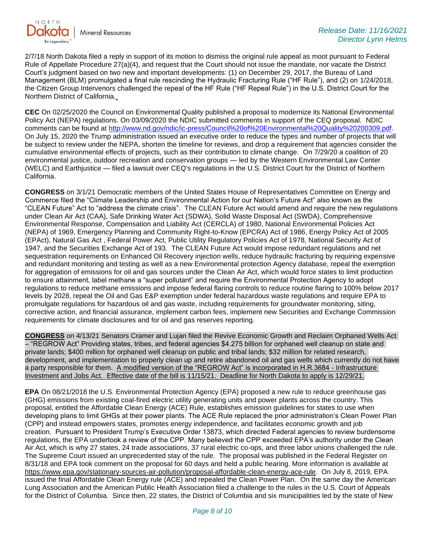

2/7/18 North Dakota filed a reply in support of its motion to dismiss the original rule appeal as moot pursuant to Federal Rule of Appellate Procedure 27(a)(4), and request that the Court should not issue the mandate, nor vacate the District Court's judgment based on two new and important developments: (1) on December 29, 2017, the Bureau of Land Management (BLM) promulgated a final rule rescinding the Hydraulic Fracturing Rule ("HF Rule"), and (2) on 1/24/2018, the Citizen Group Intervenors challenged the repeal of the HF Rule ("HF Repeal Rule") in the U.S. District Court for the Northern District of California.

**CEC** On 02/25/2020 the Council on Environmental Quality published a proposal to modernize its National Environmental Policy Act (NEPA) regulations. On 03/09/2020 the NDIC submitted comments in support of the CEQ proposal. NDIC comments can be found at [http://www.nd.gov/ndic/ic-press/Council%20of%20Environmental%20Quality%20200309.pdf.](http://www.nd.gov/ndic/ic-press/Council%20of%20Environmental%20Quality%20200309.pdf) On July 15, 2020 the Trump administration issued an executive order to reduce the types and number of projects that will be subject to review under the NEPA, shorten the timeline for reviews, and drop a requirement that agencies consider the cumulative environmental effects of projects, such as their contribution to climate change. On 7/29/20 a coalition of 20 environmental justice, outdoor recreation and conservation groups — led by the Western Environmental Law Center (WELC) and Earthjustice — filed a lawsuit over CEQ's regulations in the U.S. District Court for the District of Northern California.

**CONGRESS** on 3/1/21 Democratic members of the United States House of Representatives Committee on Energy and Commerce filed the "Climate Leadership and Environmental Action for our Nation's Future Act" also known as the "CLEAN Future" Act to "address the climate crisis". The CLEAN Future Act would amend and require the new regulations under Clean Air Act (CAA), Safe Drinking Water Act (SDWA), Solid Waste Disposal Act (SWDA), Comprehensive Environmental Response, Compensation and Liability Act (CERCLA) of 1980, National Environmental Policies Act (NEPA) of 1969, Emergency Planning and Community Right-to-Know (EPCRA) Act of 1986, Energy Policy Act of 2005 (EPAct), Natural Gas Act , Federal Power Act, Public Utility Regulatory Policies Act of 1978, National Security Act of 1947, and the Securities Exchange Act of 193. The CLEAN Future Act would impose redundant regulations and net sequestration requirements on Enhanced Oil Recovery injection wells, reduce hydraulic fracturing by requiring expensive and redundant monitoring and testing as well as a new Environmental protection Agency database, repeal the exemption for aggregation of emissions for oil and gas sources under the Clean Air Act, which would force states to limit production to ensure attainment, label methane a "super pollutant" and require the Environmental Protection Agency to adopt regulations to reduce methane emissions and impose federal flaring controls to reduce routine flaring to 100% below 2017 levels by 2028, repeal the Oil and Gas E&P exemption under federal hazardous waste regulations and require EPA to promulgate regulations for hazardous oil and gas waste, including requirements for groundwater monitoring, siting, corrective action, and financial assurance, implement carbon fees, implement new Securities and Exchange Commission requirements for climate disclosures and for oil and gas reserves reporting.

**CONGRESS** on 4/13/21 Senators Cramer and Lujan filed the Revive Economic Growth and Reclaim Orphaned Wells Act – "REGROW Act" Providing states, tribes, and federal agencies \$4.275 billion for orphaned well cleanup on state and private lands; \$400 million for orphaned well cleanup on public and tribal lands; \$32 million for related research, development, and implementation to properly clean up and retire abandoned oil and gas wells which currently do not have a party responsible for them. A modified version of the "REGROW Act" is incorporated in H.R.3684 - Infrastructure Investment and Jobs Act. Effective date of the bill is 11/15/21. Deadline for North Dakota to apply is 12/29/21.

**EPA** On 08/21/2018 the U.S. Environmental Protection Agency (EPA) proposed a new rule to reduce greenhouse gas (GHG) emissions from existing coal-fired electric utility generating units and power plants across the country. This proposal, entitled the Affordable Clean Energy (ACE) Rule, establishes emission guidelines for states to use when developing plans to limit GHGs at their power plants. The ACE Rule replaced the prior administration's Clean Power Plan (CPP) and instead empowers states, promotes energy independence, and facilitates economic growth and job creation. Pursuant to President Trump's Executive Order 13873, which directed Federal agencies to review burdensome regulations, the EPA undertook a review of the CPP. Many believed the CPP exceeded EPA's authority under the Clean Air Act, which is why 27 states, 24 trade associations, 37 rural electric co-ops, and three labor unions challenged the rule. The Supreme Court issued an unprecedented stay of the rule. The proposal was published in the Federal Register on 8/31/18 and EPA took comment on the proposal for 60 days and held a public hearing. More information is available at [https://www.epa.gov/stationary-sources-air-pollution/proposal-affordable-clean-energy-ace-rule.](https://gcc02.safelinks.protection.outlook.com/?url=https%3A%2F%2Fwww.epa.gov%2Fstationary-sources-air-pollution%2Fproposal-affordable-clean-energy-ace-rule&data=04%7C01%7Ckahaarsager%40nd.gov%7C995ea90e5c694b6ac80408d9a91646bc%7C2dea0464da514a88bae2b3db94bc0c54%7C0%7C0%7C637726735403517428%7CUnknown%7CTWFpbGZsb3d8eyJWIjoiMC4wLjAwMDAiLCJQIjoiV2luMzIiLCJBTiI6Ik1haWwiLCJXVCI6Mn0%3D%7C3000&sdata=Ww%2FkNXuzKivRvpS7kM8Md2h64xQmyRWkatMZuKf71DA%3D&reserved=0) On July 8, 2019, EPA issued the final Affordable Clean Energy rule (ACE) and repealed the Clean Power Plan. On the same day the American Lung Association and the American Public Health Association filed a challenge to the rules in the U.S. Court of Appeals for the District of Columbia. Since then, 22 states, the District of Columbia and six municipalities led by the state of New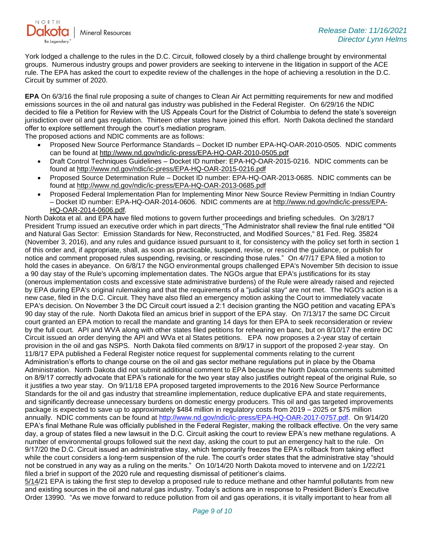

York lodged a challenge to the rules in the D.C. Circuit, followed closely by a third challenge brought by environmental groups. Numerous industry groups and power providers are seeking to intervene in the litigation in support of the ACE rule. The EPA has asked the court to expedite review of the challenges in the hope of achieving a resolution in the D.C. Circuit by summer of 2020.

**EPA** On 6/3/16 the final rule proposing a suite of changes to Clean Air Act permitting requirements for new and modified emissions sources in the oil and natural gas industry was published in the Federal Register. On 6/29/16 the NDIC decided to file a Petition for Review with the US Appeals Court for the District of Columbia to defend the state's sovereign jurisdiction over oil and gas regulation. Thirteen other states have joined this effort. North Dakota declined the standard offer to explore settlement through the court's mediation program.

The proposed actions and NDIC comments are as follows:

- Proposed New Source Performance Standards Docket ID number EPA-HQ-OAR-2010-0505. NDIC comments can be found at<http://www.nd.gov/ndic/ic-press/EPA-HQ-OAR-2010-0505.pdf>
- Draft Control Techniques Guidelines Docket ID number: EPA-HQ-OAR-2015-0216. NDIC comments can be found at<http://www.nd.gov/ndic/ic-press/EPA-HQ-OAR-2015-0216.pdf>
- Proposed Source Determination Rule Docket ID number: EPA-HQ-OAR-2013-0685. NDIC comments can be found at<http://www.nd.gov/ndic/ic-press/EPA-HQ-OAR-2013-0685.pdf>
- Proposed Federal Implementation Plan for Implementing Minor New Source Review Permitting in Indian Country – Docket ID number: EPA-HQ-OAR-2014-0606. NDIC comments are at [http://www.nd.gov/ndic/ic-press/EPA-](http://www.nd.gov/ndic/ic-press/EPA-HQ-OAR-2014-0606.pdf)[HQ-OAR-2014-0606.pdf.](http://www.nd.gov/ndic/ic-press/EPA-HQ-OAR-2014-0606.pdf)

North Dakota et al. and EPA have filed motions to govern further proceedings and briefing schedules. On 3/28/17 President Trump issued an executive order which in part directs "The Administrator shall review the final rule entitled "Oil and Natural Gas Sector: Emission Standards for New, Reconstructed, and Modified Sources," 81 Fed. Reg. 35824 (November 3, 2016), and any rules and guidance issued pursuant to it, for consistency with the policy set forth in section 1 of this order and, if appropriate, shall, as soon as practicable, suspend, revise, or rescind the guidance, or publish for notice and comment proposed rules suspending, revising, or rescinding those rules." On 4/7/17 EPA filed a motion to hold the cases in abeyance. On 6/8/17 the NGO environmental groups challenged EPA's November 5th decision to issue a 90 day stay of the Rule's upcoming implementation dates. The NGOs argue that EPA's justifications for its stay (onerous implementation costs and excessive state administrative burdens) of the Rule were already raised and rejected by EPA during EPA's original rulemaking and that the requirements of a "judicial stay" are not met. The NGO's action is a new case, filed in the D.C. Circuit. They have also filed an emergency motion asking the Court to immediately vacate EPA's decision. On November 3 the DC Circuit court issued a 2:1 decision granting the NGO petition and vacating EPA's 90 day stay of the rule. North Dakota filed an amicus brief in support of the EPA stay. On 7/13/17 the same DC Circuit court granted an EPA motion to recall the mandate and granting 14 days for then EPA to seek reconsideration or review by the full court. API and WVA along with other states filed petitions for rehearing en banc, but on 8/10/17 the entire DC Circuit issued an order denying the API and WVa et al States petitions. EPA now proposes a 2-year stay of certain provision in the oil and gas NSPS. North Dakota filed comments on 8/9/17 in support of the proposed 2-year stay. On 11/8/17 EPA published a Federal Register notice request for supplemental comments relating to the current Administration's efforts to change course on the oil and gas sector methane regulations put in place by the Obama Administration. North Dakota did not submit additional comment to EPA because the North Dakota comments submitted on 8/9/17 correctly advocate that EPA's rationale for the two year stay also justifies outright repeal of the original Rule, so it justifies a two year stay. On 9/11/18 EPA proposed targeted improvements to the 2016 New Source Performance Standards for the oil and gas industry that streamline implementation, reduce duplicative EPA and state requirements, and significantly decrease unnecessary burdens on domestic energy producers. This oil and gas targeted improvements package is expected to save up to approximately \$484 million in regulatory costs from 2019 – 2025 or \$75 million annually. NDIC comments can be found at [http://www.nd.gov/ndic/ic-press/EPA-HQ-OAR-2017-0757.pdf.](http://www.nd.gov/ndic/ic-press/EPA-HQ-OAR-2017-0757.pdf) On 9/14/20 EPA's final Methane Rule was officially published in the Federal Register, making the rollback effective. On the very same day, a group of states filed a new lawsuit in the D.C. Circuit asking the court to review EPA's new methane regulations. A number of environmental groups followed suit the next day, asking the court to put an emergency halt to the rule. On 9/17/20 the D.C. Circuit issued an administrative stay, which temporarily freezes the EPA's rollback from taking effect while the court considers a long-term suspension of the rule. The court's order states that the administrative stay "should not be construed in any way as a ruling on the merits." On 10/14/20 North Dakota moved to intervene and on 1/22/21 filed a brief in support of the 2020 rule and requesting dismissal of petitioner's claims.

5/14/21 EPA is taking the first step to develop a proposed rule to reduce methane and other harmful pollutants from new and existing sources in the oil and natural gas industry. Today's actions are in response to President Biden's Executive Order 13990. "As we move forward to reduce pollution from oil and gas operations, it is vitally important to hear from all